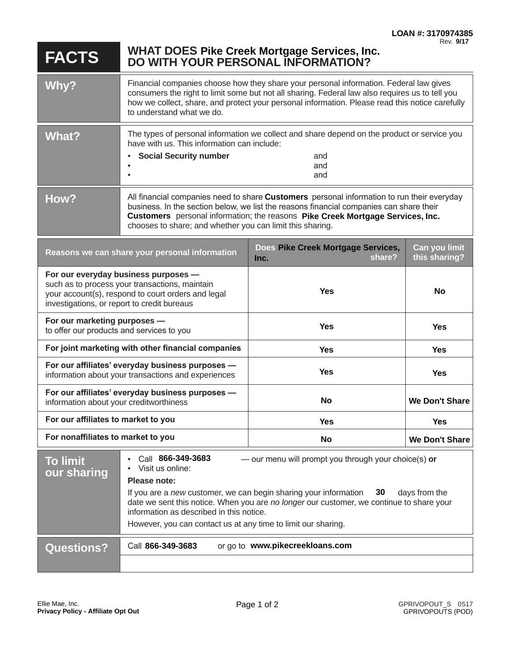## **FACTS WHAT DOES DO WITH YOUR PERSONAL INFORMATION? Pike Creek Mortgage Services, Inc.**

| Why?  | Financial companies choose how they share your personal information. Federal law gives<br>consumers the right to limit some but not all sharing. Federal law also requires us to tell you<br>how we collect, share, and protect your personal information. Please read this notice carefully<br>to understand what we do. |     |
|-------|---------------------------------------------------------------------------------------------------------------------------------------------------------------------------------------------------------------------------------------------------------------------------------------------------------------------------|-----|
| What? | The types of personal information we collect and share depend on the product or service you<br>have with us. This information can include:<br><b>Social Security number</b><br>and<br>and                                                                                                                                 |     |
|       |                                                                                                                                                                                                                                                                                                                           | and |
| How?  | All financial companies need to share Customers personal information to run their everyday<br>business. In the section below, we list the reasons financial companies can share their<br>Customers personal information; the reasons Pike Creek Mortgage Services, Inc.                                                   |     |

chooses to share; and whether you can limit this sharing.

| Reasons we can share your personal information                                                                                                                                              | Does Pike Creek Mortgage Services,<br>share?<br>Inc. | Can you limit<br>this sharing? |
|---------------------------------------------------------------------------------------------------------------------------------------------------------------------------------------------|------------------------------------------------------|--------------------------------|
| For our everyday business purposes -<br>such as to process your transactions, maintain<br>your account(s), respond to court orders and legal<br>investigations, or report to credit bureaus | <b>Yes</b>                                           | No                             |
| For our marketing purposes -<br>to offer our products and services to you                                                                                                                   | <b>Yes</b>                                           | <b>Yes</b>                     |
| For joint marketing with other financial companies                                                                                                                                          | <b>Yes</b>                                           | <b>Yes</b>                     |
| For our affiliates' everyday business purposes -<br>information about your transactions and experiences                                                                                     | Yes                                                  | <b>Yes</b>                     |
| For our affiliates' everyday business purposes -<br>information about your creditworthiness                                                                                                 | <b>No</b>                                            | We Don't Share                 |
| For our affiliates to market to you                                                                                                                                                         | <b>Yes</b>                                           | <b>Yes</b>                     |
| For nonaffiliates to market to you                                                                                                                                                          | No                                                   | We Don't Share                 |

| <b>To limit</b><br>our sharing | Call 866-349-3683<br>- our menu will prompt you through your choice(s) or<br>٠<br>Visit us online:<br>٠<br>Please note:                                                                                                                                                                         |  |
|--------------------------------|-------------------------------------------------------------------------------------------------------------------------------------------------------------------------------------------------------------------------------------------------------------------------------------------------|--|
|                                | If you are a new customer, we can begin sharing your information $30$<br>days from the<br>date we sent this notice. When you are no longer our customer, we continue to share your<br>information as described in this notice.<br>However, you can contact us at any time to limit our sharing. |  |
| <b>Questions?</b>              | or go to www.pikecreekloans.com<br>Call 866-349-3683                                                                                                                                                                                                                                            |  |